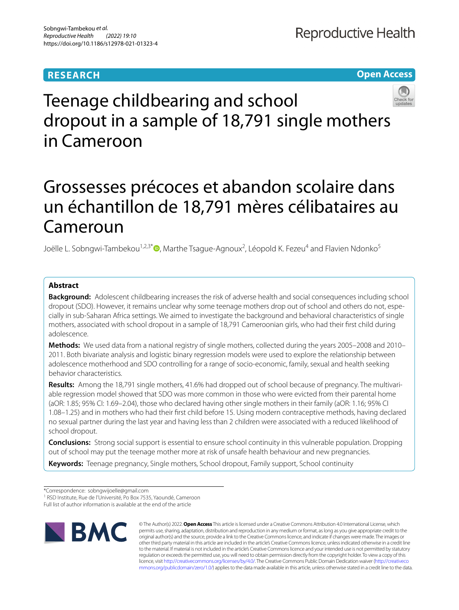# **RESEARCH**

**Open Access**

# Teenage childbearing and school dropout in a sample of 18,791 single mothers in Cameroon

# Grossesses précoces et abandon scolaire dans un échantillon de 18,791 mères célibataires au Cameroun

Joëlle L. Sobngwi-Tambekou<sup>1,2,3[\\*](http://orcid.org/0000-0002-9654-0225)</sup>®, Marthe Tsague-Agnoux<sup>2</sup>, Léopold K. Fezeu<sup>4</sup> and Flavien Ndonko<sup>5</sup>

# **Abstract**

**Background:** Adolescent childbearing increases the risk of adverse health and social consequences including school dropout (SDO). However, it remains unclear why some teenage mothers drop out of school and others do not, especially in sub-Saharan Africa settings. We aimed to investigate the background and behavioral characteristics of single mothers, associated with school dropout in a sample of 18,791 Cameroonian girls, who had their frst child during adolescence.

**Methods:** We used data from a national registry of single mothers, collected during the years 2005–2008 and 2010– 2011. Both bivariate analysis and logistic binary regression models were used to explore the relationship between adolescence motherhood and SDO controlling for a range of socio-economic, family, sexual and health seeking behavior characteristics.

Results: Among the 18,791 single mothers, 41.6% had dropped out of school because of pregnancy. The multivariable regression model showed that SDO was more common in those who were evicted from their parental home (aOR: 1.85; 95% CI: 1.69–2.04), those who declared having other single mothers in their family (aOR: 1.16; 95% CI 1.08–1.25) and in mothers who had their frst child before 15. Using modern contraceptive methods, having declared no sexual partner during the last year and having less than 2 children were associated with a reduced likelihood of school dropout.

**Conclusions:** Strong social support is essential to ensure school continuity in this vulnerable population. Dropping out of school may put the teenage mother more at risk of unsafe health behaviour and new pregnancies.

**Keywords:** Teenage pregnancy, Single mothers, School dropout, Family support, School continuity

\*Correspondence: sobngwijoelle@gmail.com

Full list of author information is available at the end of the article



© The Author(s) 2022. **Open Access** This article is licensed under a Creative Commons Attribution 4.0 International License, which permits use, sharing, adaptation, distribution and reproduction in any medium or format, as long as you give appropriate credit to the original author(s) and the source, provide a link to the Creative Commons licence, and indicate if changes were made. The images or other third party material in this article are included in the article's Creative Commons licence, unless indicated otherwise in a credit line to the material. If material is not included in the article's Creative Commons licence and your intended use is not permitted by statutory regulation or exceeds the permitted use, you will need to obtain permission directly from the copyright holder. To view a copy of this licence, visit [http://creativecommons.org/licenses/by/4.0/.](http://creativecommons.org/licenses/by/4.0/) The Creative Commons Public Domain Dedication waiver ([http://creativeco](http://creativecommons.org/publicdomain/zero/1.0/) [mmons.org/publicdomain/zero/1.0/](http://creativecommons.org/publicdomain/zero/1.0/)) applies to the data made available in this article, unless otherwise stated in a credit line to the data.

<sup>&</sup>lt;sup>1</sup> RSD Institute, Rue de l'Université, Po Box 7535, Yaoundé, Cameroon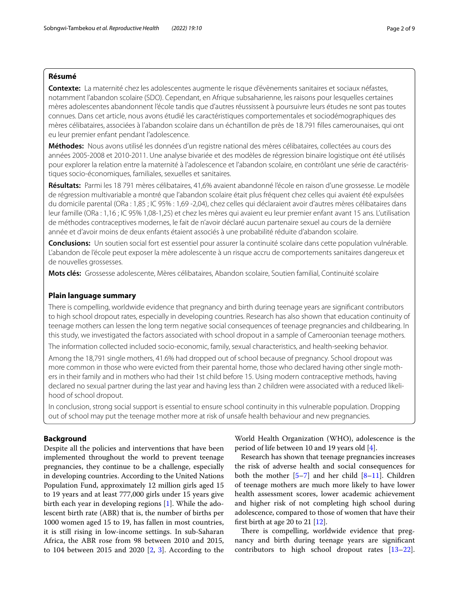# **Résumé**

**Contexte:** La maternité chez les adolescentes augmente le risque d'évènements sanitaires et sociaux néfastes, notamment l'abandon scolaire (SDO). Cependant, en Afrique subsaharienne, les raisons pour lesquelles certaines mères adolescentes abandonnent l'école tandis que d'autres réussissent à poursuivre leurs études ne sont pas toutes connues. Dans cet article, nous avons étudié les caractéristiques comportementales et sociodémographiques des mères célibataires, associées à l'abandon scolaire dans un échantillon de près de 18.791 flles camerounaises, qui ont eu leur premier enfant pendant l'adolescence.

**Méthodes:** Nous avons utilisé les données d'un registre national des mères célibataires, collectées au cours des années 2005-2008 et 2010-2011. Une analyse bivariée et des modèles de régression binaire logistique ont été utilisés pour explorer la relation entre la maternité à l'adolescence et l'abandon scolaire, en contrôlant une série de caractéristiques socio-économiques, familiales, sexuelles et sanitaires.

**Résultats:** Parmi les 18 791 mères célibataires, 41,6% avaient abandonné l'école en raison d'une grossesse. Le modèle de régression multivariable a montré que l'abandon scolaire était plus fréquent chez celles qui avaient été expulsées du domicile parental (ORa : 1,85 ; IC 95% : 1,69 -2,04), chez celles qui déclaraient avoir d'autres mères célibataires dans leur famille (ORa : 1,16 ; IC 95% 1,08-1,25) et chez les mères qui avaient eu leur premier enfant avant 15 ans. L'utilisation de méthodes contraceptives modernes, le fait de n'avoir déclaré aucun partenaire sexuel au cours de la dernière année et d'avoir moins de deux enfants étaient associés à une probabilité réduite d'abandon scolaire.

**Conclusions:** Un soutien social fort est essentiel pour assurer la continuité scolaire dans cette population vulnérable. L'abandon de l'école peut exposer la mère adolescente à un risque accru de comportements sanitaires dangereux et de nouvelles grossesses.

**Mots clés:** Grossesse adolescente, Mères célibataires, Abandon scolaire, Soutien familial, Continuité scolaire

## **Plain language summary**

There is compelling, worldwide evidence that pregnancy and birth during teenage years are signifcant contributors to high school dropout rates, especially in developing countries. Research has also shown that education continuity of teenage mothers can lessen the long term negative social consequences of teenage pregnancies and childbearing. In this study, we investigated the factors associated with school dropout in a sample of Cameroonian teenage mothers.

The information collected included socio-economic, family, sexual characteristics, and health-seeking behavior.

Among the 18,791 single mothers, 41.6% had dropped out of school because of pregnancy. School dropout was more common in those who were evicted from their parental home, those who declared having other single moth– ers in their family and in mothers who had their 1st child before 15. Using modern contraceptive methods, having declared no sexual partner during the last year and having less than 2 children were associated with a reduced likelihood of school dropout.

In conclusion, strong social support is essential to ensure school continuity in this vulnerable population. Dropping out of school may put the teenage mother more at risk of unsafe health behaviour and new pregnancies.

## **Background**

Despite all the policies and interventions that have been implemented throughout the world to prevent teenage pregnancies, they continue to be a challenge, especially in developing countries. According to the United Nations Population Fund, approximately 12 million girls aged 15 to 19 years and at least 777,000 girls under 15 years give birth each year in developing regions [\[1](#page-8-0)]. While the adolescent birth rate (ABR) that is, the number of births per 1000 women aged 15 to 19, has fallen in most countries, it is still rising in low-income settings. In sub-Saharan Africa, the ABR rose from 98 between 2010 and 2015, to 104 between 2015 and 2020 [\[2](#page-8-1), [3](#page-8-2)]. According to the

World Health Organization (WHO), adolescence is the period of life between 10 and 19 years old [\[4](#page-8-3)].

Research has shown that teenage pregnancies increases the risk of adverse health and social consequences for both the mother  $[5-7]$  $[5-7]$  and her child  $[8-11]$  $[8-11]$ . Children of teenage mothers are much more likely to have lower health assessment scores, lower academic achievement and higher risk of not completing high school during adolescence, compared to those of women that have their frst birth at age 20 to 21 [[12\]](#page-8-8).

There is compelling, worldwide evidence that pregnancy and birth during teenage years are signifcant contributors to high school dropout rates [[13](#page-8-9)[–22](#page-8-10)].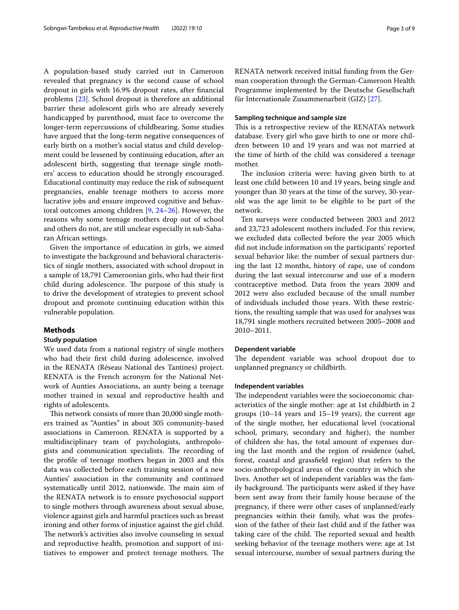A population-based study carried out in Cameroon revealed that pregnancy is the second cause of school dropout in girls with 16.9% dropout rates, after fnancial problems [\[23](#page-8-11)]. School dropout is therefore an additional barrier these adolescent girls who are already severely handicapped by parenthood, must face to overcome the longer-term repercussions of childbearing. Some studies have argued that the long-term negative consequences of early birth on a mother's social status and child development could be lessened by continuing education, after an adolescent birth, suggesting that teenage single mothers' access to education should be strongly encouraged. Educational continuity may reduce the risk of subsequent pregnancies, enable teenage mothers to access more lucrative jobs and ensure improved cognitive and behavioral outcomes among children [[9,](#page-8-12) [24–](#page-8-13)[26\]](#page-8-14). However, the reasons why some teenage mothers drop out of school and others do not, are still unclear especially in sub-Saharan African settings.

Given the importance of education in girls, we aimed to investigate the background and behavioral characteristics of single mothers, associated with school dropout in a sample of 18,791 Cameroonian girls, who had their frst child during adolescence. The purpose of this study is to drive the development of strategies to prevent school dropout and promote continuing education within this vulnerable population.

#### **Methods**

## **Study population**

We used data from a national registry of single mothers who had their frst child during adolescence, involved in the RENATA (Réseau National des Tantines) project. RENATA is the French acronym for the National Network of Aunties Associations, an aunty being a teenage mother trained in sexual and reproductive health and rights of adolescents.

This network consists of more than 20,000 single mothers trained as "Aunties" in about 305 community-based associations in Cameroon. RENATA is supported by a multidisciplinary team of psychologists, anthropologists and communication specialists. The recording of the profle of teenage mothers began in 2003 and this data was collected before each training session of a new Aunties' association in the community and continued systematically until 2012, nationwide. The main aim of the RENATA network is to ensure psychosocial support to single mothers through awareness about sexual abuse, violence against girls and harmful practices such as breast ironing and other forms of injustice against the girl child. The network's activities also involve counseling in sexual and reproductive health, promotion and support of initiatives to empower and protect teenage mothers. The RENATA network received initial funding from the German cooperation through the German-Cameroon Health Programme implemented by the Deutsche Gesellschaft für Internationale Zusammenarbeit (GIZ) [\[27](#page-8-15)].

### **Sampling technique and sample size**

This is a retrospective review of the RENATA's network database. Every girl who gave birth to one or more children between 10 and 19 years and was not married at the time of birth of the child was considered a teenage mother.

The inclusion criteria were: having given birth to at least one child between 10 and 19 years, being single and younger than 30 years at the time of the survey, 30-yearold was the age limit to be eligible to be part of the network.

Ten surveys were conducted between 2003 and 2012 and 23,723 adolescent mothers included. For this review, we excluded data collected before the year 2005 which did not include information on the participants' reported sexual behavior like: the number of sexual partners during the last 12 months, history of rape, use of condom during the last sexual intercourse and use of a modern contraceptive method. Data from the years 2009 and 2012 were also excluded because of the small number of individuals included those years. With these restrictions, the resulting sample that was used for analyses was 18,791 single mothers recruited between 2005–2008 and 2010–2011.

#### **Dependent variable**

The dependent variable was school dropout due to unplanned pregnancy or childbirth.

# **Independent variables**

The independent variables were the socioeconomic characteristics of the single mother: age at 1st childbirth in 2 groups (10–14 years and 15–19 years), the current age of the single mother, her educational level (vocational school, primary, secondary and higher), the number of children she has, the total amount of expenses during the last month and the region of residence (sahel, forest, coastal and grassfeld region) that refers to the socio-anthropological areas of the country in which she lives. Another set of independent variables was the family background. The participants were asked if they have been sent away from their family house because of the pregnancy, if there were other cases of unplanned/early pregnancies within their family, what was the profession of the father of their last child and if the father was taking care of the child. The reported sexual and health seeking behavior of the teenage mothers were: age at 1st sexual intercourse, number of sexual partners during the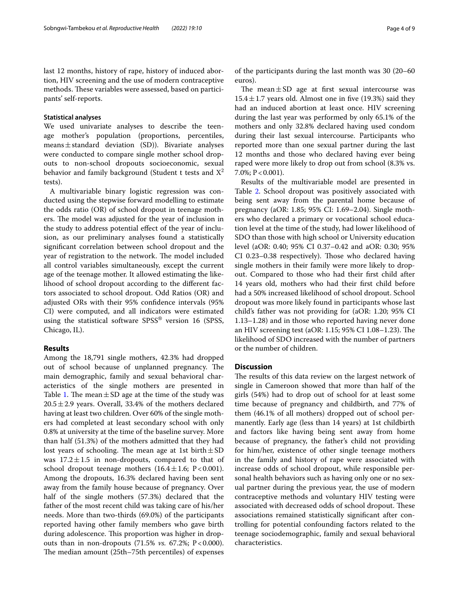last 12 months, history of rape, history of induced abortion, HIV screening and the use of modern contraceptive methods. These variables were assessed, based on participants' self-reports.

### **Statistical analyses**

We used univariate analyses to describe the teenage mother's population (proportions, percentiles, means $\pm$ standard deviation (SD)). Bivariate analyses were conducted to compare single mother school dropouts to non-school dropouts socioeconomic, sexual behavior and family background (Student t tests and  $X^2$ tests).

A multivariable binary logistic regression was conducted using the stepwise forward modelling to estimate the odds ratio (OR) of school dropout in teenage mothers. The model was adjusted for the year of inclusion in the study to address potential efect of the year of inclusion, as our preliminary analyses found a statistically signifcant correlation between school dropout and the year of registration to the network. The model included all control variables simultaneously, except the current age of the teenage mother. It allowed estimating the likelihood of school dropout according to the diferent factors associated to school dropout. Odd Ratios (OR) and adjusted ORs with their 95% confdence intervals (95% CI) were computed, and all indicators were estimated using the statistical software  $SPSS^{\circledast}$  version 16 (SPSS, Chicago, IL).

# **Results**

Among the 18,791 single mothers, 42.3% had dropped out of school because of unplanned pregnancy. The main demographic, family and sexual behavioral characteristics of the single mothers are presented in Table [1.](#page-4-0) The mean  $\pm$  SD age at the time of the study was  $20.5 \pm 2.9$  years. Overall, 33.4% of the mothers declared having at least two children. Over 60% of the single mothers had completed at least secondary school with only 0.8% at university at the time of the baseline survey. More than half (51.3%) of the mothers admitted that they had lost years of schooling. The mean age at 1st birth $\pm$ SD was  $17.2 \pm 1.5$  in non-dropouts, compared to that of school dropout teenage mothers  $(16.4 \pm 1.6; P < 0.001)$ . Among the dropouts, 16.3% declared having been sent away from the family house because of pregnancy. Over half of the single mothers (57.3%) declared that the father of the most recent child was taking care of his/her needs. More than two-thirds (69.0%) of the participants reported having other family members who gave birth during adolescence. This proportion was higher in dropouts than in non-dropouts (71.5% *vs.* 67.2%; P<0.000). The median amount (25th–75th percentiles) of expenses of the participants during the last month was 30 (20–60 euros).

The mean $\pm$ SD age at first sexual intercourse was  $15.4 \pm 1.7$  years old. Almost one in five (19.3%) said they had an induced abortion at least once. HIV screening during the last year was performed by only 65.1% of the mothers and only 32.8% declared having used condom during their last sexual intercourse. Participants who reported more than one sexual partner during the last 12 months and those who declared having ever being raped were more likely to drop out from school (8.3% vs. 7.0%;  $P < 0.001$ ).

Results of the multivariable model are presented in Table [2.](#page-6-0) School dropout was positively associated with being sent away from the parental home because of pregnancy (aOR: 1.85; 95% CI: 1.69–2.04). Single mothers who declared a primary or vocational school education level at the time of the study, had lower likelihood of SDO than those with high school or University education level (aOR: 0.40; 95% CI 0.37–0.42 and aOR: 0.30; 95% CI 0.23-0.38 respectively). Those who declared having single mothers in their family were more likely to dropout. Compared to those who had their frst child after 14 years old, mothers who had their frst child before had a 50% increased likelihood of school dropout. School dropout was more likely found in participants whose last child's father was not providing for (aOR: 1.20; 95% CI 1.13–1.28) and in those who reported having never done an HIV screening test (aOR: 1.15; 95% CI 1.08–1.23). The likelihood of SDO increased with the number of partners or the number of children.

# **Discussion**

The results of this data review on the largest network of single in Cameroon showed that more than half of the girls (54%) had to drop out of school for at least some time because of pregnancy and childbirth, and 77% of them (46.1% of all mothers) dropped out of school permanently. Early age (less than 14 years) at 1st childbirth and factors like having being sent away from home because of pregnancy, the father's child not providing for him/her, existence of other single teenage mothers in the family and history of rape were associated with increase odds of school dropout, while responsible personal health behaviors such as having only one or no sexual partner during the previous year, the use of modern contraceptive methods and voluntary HIV testing were associated with decreased odds of school dropout. These associations remained statistically signifcant after controlling for potential confounding factors related to the teenage sociodemographic, family and sexual behavioral characteristics.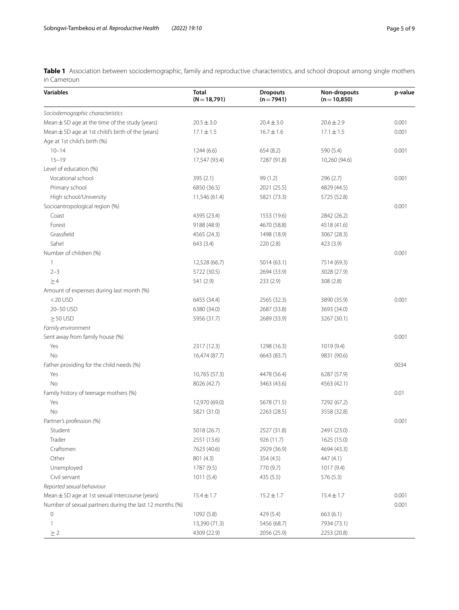<span id="page-4-0"></span>**Table 1** Association between sociodemographic, family and reproductive characteristics, and school dropout among single mothers in Cameroun

| <b>Variables</b>                                        | <b>Total</b><br>$(N = 18,791)$ | <b>Dropouts</b><br>$(n = 7941)$ | Non-dropouts<br>$(n = 10, 850)$ | p-value |
|---------------------------------------------------------|--------------------------------|---------------------------------|---------------------------------|---------|
| Sociodemographic characteristics                        |                                |                                 |                                 |         |
| Mean $\pm$ SD age at the time of the study (years)      | $20.5 \pm 3.0$                 | $20.4 \pm 3.0$                  | $20.6 \pm 2.9$                  | 0.001   |
| Mean $\pm$ SD age at 1st child's birth of the (years)   | $17.1 \pm 1.5$                 | $16.7 \pm 1.6$                  | $17.1 \pm 1.5$                  | 0.001   |
| Age at 1st child's birth (%)                            |                                |                                 |                                 |         |
| $10 - 14$                                               | 1244(6.6)                      | 654 (8.2)                       | 590 (5.4)                       | 0.001   |
| $15 - 19$                                               | 17,547 (93.4)                  | 7287 (91.8)                     | 10,260 (94.6)                   |         |
| Level of education (%)                                  |                                |                                 |                                 |         |
| Vocational school                                       | 395 (2.1)                      | 99 (1.2)                        | 296 (2.7)                       | 0.001   |
| Primary school                                          | 6850 (36.5)                    | 2021 (25.5)                     | 4829 (44.5)                     |         |
| High school/University                                  | 11,546 (61.4)                  | 5821 (73.3)                     | 5725 (52.8)                     |         |
| Socioantropological region (%)                          |                                |                                 |                                 | 0.001   |
| Coast                                                   | 4395 (23.4)                    | 1553 (19.6)                     | 2842 (26.2)                     |         |
| Forest                                                  | 9188 (48.9)                    | 4670 (58.8)                     | 4518 (41.6)                     |         |
| Grassfield                                              | 4565 (24.3)                    | 1498 (18.9)                     | 3067 (28.3)                     |         |
| Sahel                                                   | 643 (3.4)                      | 220 (2.8)                       | 423 (3.9)                       |         |
| Number of children (%)                                  |                                |                                 |                                 | 0.001   |
| 1                                                       | 12,528 (66.7)                  | 5014 (63.1)                     | 7514 (69.3)                     |         |
| $2 - 3$                                                 | 5722 (30.5)                    | 2694 (33.9)                     | 3028 (27.9)                     |         |
| $\geq 4$                                                | 541 (2.9)                      | 233 (2.9)                       | 308 (2.8)                       |         |
| Amount of expenses during last month (%)                |                                |                                 |                                 |         |
| $<$ 20 USD                                              | 6455 (34.4)                    | 2565 (32.3)                     | 3890 (35.9)                     | 0.001   |
| 20-50 USD                                               | 6380 (34.0)                    | 2687 (33.8)                     | 3693 (34.0)                     |         |
| $\geq$ 50 USD                                           | 5956 (31.7)                    | 2689 (33.9)                     | 3267 (30.1)                     |         |
| Family environment                                      |                                |                                 |                                 |         |
| Sent away from family house (%)                         |                                |                                 |                                 | 0.001   |
| Yes                                                     | 2317 (12.3)                    | 1298 (16.3)                     | 1019 (9.4)                      |         |
| No                                                      | 16,474 (87.7)                  | 6643 (83.7)                     | 9831 (90.6)                     |         |
| Father providing for the child needs (%)                |                                |                                 |                                 | 0034    |
| Yes                                                     | 10,765 (57.3)                  | 4478 (56.4)                     | 6287 (57.9)                     |         |
| No                                                      | 8026 (42.7)                    | 3463 (43.6)                     | 4563 (42.1)                     |         |
| Family history of teenage mothers (%)                   |                                |                                 |                                 | 0.01    |
| Yes                                                     | 12,970 (69.0)                  | 5678 (71.5)                     | 7292 (67.2)                     |         |
| No                                                      | 5821 (31.0)                    | 2263 (28.5)                     | 3558 (32.8)                     |         |
| Partner's profession (%)                                |                                |                                 |                                 | 0.001   |
| Student                                                 | 5018 (26.7)                    | 2527 (31.8)                     | 2491 (23.0)                     |         |
| Trader                                                  | 2551 (13.6)                    | 926 (11.7)                      | 1625 (15.0)                     |         |
| Craftsmen                                               | 7623 (40.6)                    | 2929 (36.9)                     | 4694 (43.3)                     |         |
| Other                                                   | 801 (4.3)                      | 354 (4.5)                       | 447 (4.1)                       |         |
| Unemployed                                              | 1787 (9.5)                     | 770 (9.7)                       | 1017 (9.4)                      |         |
| Civil servant                                           | 1011(5.4)                      | 435 (5.5)                       | 576 (5.3)                       |         |
| Reported sexual behaviour                               |                                |                                 |                                 |         |
| Mean ± SD age at 1st sexual intercourse (years)         | $15.4 \pm 1.7$                 | $15.2 \pm 1.7$                  | $15.4 \pm 1.7$                  | 0.001   |
| Number of sexual partners during the last 12 months (%) |                                |                                 |                                 | 0.001   |
| 0                                                       | 1092 (5.8)                     | 429 (5.4)                       | 663(6.1)                        |         |
| 1                                                       | 13,390 (71.3)                  | 5456 (68.7)                     | 7934 (73.1)                     |         |
| $\geq 2$                                                | 4309 (22.9)                    | 2056 (25.9)                     | 2253 (20.8)                     |         |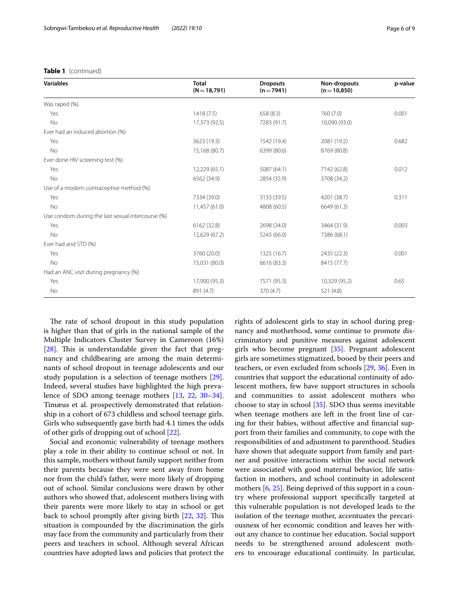## **Table 1** (continued)

| <b>Variables</b>                                  | <b>Total</b><br>$(N = 18,791)$ | <b>Dropouts</b><br>$(n=7941)$ | Non-dropouts<br>$(n=10,850)$ | p-value |  |
|---------------------------------------------------|--------------------------------|-------------------------------|------------------------------|---------|--|
| Was raped (%)                                     |                                |                               |                              |         |  |
| Yes                                               | 1418(7.5)                      | 658(8.3)                      | 760 (7.0)                    | 0.001   |  |
| <b>No</b>                                         | 17,373 (92.5)                  | 7283 (91.7)                   | 10,090 (93.0)                |         |  |
| Ever had an induced abortion (%)                  |                                |                               |                              |         |  |
| Yes                                               | 3623 (19.3)                    | 1542 (19.4)                   | 2081 (19.2)                  | 0.682   |  |
| <b>No</b>                                         | 15,168 (80.7)                  | 6399 (80.6)                   | 8769 (80.8)                  |         |  |
| Ever done HIV screening test (%)                  |                                |                               |                              |         |  |
| Yes                                               | 12,229(65.1)                   | 5087 (64.1)                   | 7142 (62.8)                  | 0.012   |  |
| <b>No</b>                                         | 6562 (34.9)                    | 2854 (35.9)                   | 3708 (34.2)                  |         |  |
| Use of a modern contraceptive method (%)          |                                |                               |                              |         |  |
| Yes                                               | 7334 (39.0)                    | 3133 (39.5)                   | 4201 (38.7)                  | 0.311   |  |
| <b>No</b>                                         | 11,457 (61.0)                  | 4808 (60.5)                   | 6649 (61.3)                  |         |  |
| Use condom during the last sexual intercourse (%) |                                |                               |                              |         |  |
| Yes                                               | 6162 (32.8)                    | 2698 (34.0)                   | 3464 (31.9)                  | 0.003   |  |
| <b>No</b>                                         | 12,629 (67.2)                  | 5243 (66.0)                   | 7386 (68.1)                  |         |  |
| Ever had and STD (%)                              |                                |                               |                              |         |  |
| Yes                                               | 3760 (20.0)                    | 1325 (16.7)                   | 2435 (22.3)                  | 0.001   |  |
| No                                                | 15,031 (80.0)                  | 6616 (83.3)                   | 8415 (77.7)                  |         |  |
| Had an ANC visit during pregnancy (%)             |                                |                               |                              |         |  |
| Yes                                               | 17,900 (95.3)                  | 7571 (95.3)                   | 10,329 (95.2)                | 0.65    |  |
| <b>No</b>                                         | 891 (4.7)                      | 370 (4.7)                     | 521 (4.8)                    |         |  |
|                                                   |                                |                               |                              |         |  |

The rate of school dropout in this study population is higher than that of girls in the national sample of the Multiple Indicators Cluster Survey in Cameroon (16%) [ $28$ ]. This is understandable given the fact that pregnancy and childbearing are among the main determinants of school dropout in teenage adolescents and our study population is a selection of teenage mothers [\[29](#page-8-17)]. Indeed, several studies have highlighted the high prevalence of SDO among teenage mothers [\[13](#page-8-9), [22](#page-8-10), [30](#page-8-18)[–34](#page-8-19)]. Timæus et al. prospectively demonstrated that relationship in a cohort of 673 childless and school teenage girls. Girls who subsequently gave birth had 4.1 times the odds of other girls of dropping out of school [[22\]](#page-8-10).

Social and economic vulnerability of teenage mothers play a role in their ability to continue school or not. In this sample, mothers without family support neither from their parents because they were sent away from home nor from the child's father, were more likely of dropping out of school. Similar conclusions were drawn by other authors who showed that, adolescent mothers living with their parents were more likely to stay in school or get back to school promptly after giving birth  $[22, 32]$  $[22, 32]$  $[22, 32]$  $[22, 32]$ . This situation is compounded by the discrimination the girls may face from the community and particularly from their peers and teachers in school. Although several African countries have adopted laws and policies that protect the rights of adolescent girls to stay in school during pregnancy and motherhood, some continue to promote discriminatory and punitive measures against adolescent girls who become pregnant [[35](#page-8-21)]. Pregnant adolescent girls are sometimes stigmatized, booed by their peers and teachers, or even excluded from schools [\[29](#page-8-17), [36\]](#page-8-22). Even in countries that support the educational continuity of adolescent mothers, few have support structures in schools and communities to assist adolescent mothers who choose to stay in school [[35](#page-8-21)]. SDO thus seems inevitable when teenage mothers are left in the front line of caring for their babies, without afective and fnancial support from their families and community, to cope with the responsibilities of and adjustment to parenthood. Studies have shown that adequate support from family and partner and positive interactions within the social network were associated with good maternal behavior, life satisfaction in mothers, and school continuity in adolescent mothers [\[6](#page-8-23), [25\]](#page-8-24). Being deprived of this support in a country where professional support specifcally targeted at this vulnerable population is not developed leads to the isolation of the teenage mother, accentuates the precariousness of her economic condition and leaves her without any chance to continue her education. Social support needs to be strengthened around adolescent mothers to encourage educational continuity. In particular,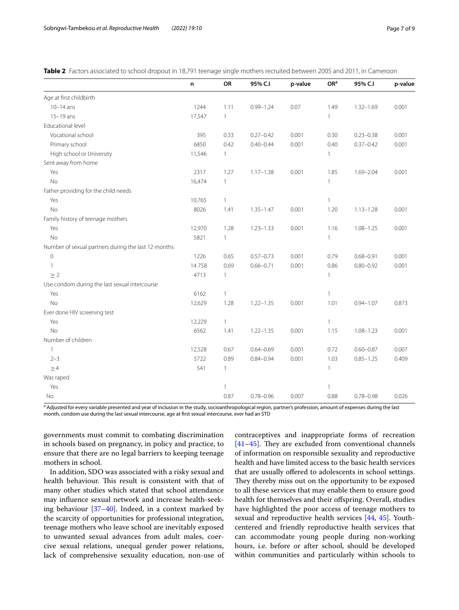<span id="page-6-0"></span>

|  |  |  |  |  | Table 2 Factors associated to school dropout in 18,791 teenage single mothers recruited between 2005 and 2011, in Cameroor |
|--|--|--|--|--|----------------------------------------------------------------------------------------------------------------------------|
|--|--|--|--|--|----------------------------------------------------------------------------------------------------------------------------|

|                                                     | n      | OR           | 95% C.I       | p-value | OR <sup>a</sup> | 95% C.I       | p-value |
|-----------------------------------------------------|--------|--------------|---------------|---------|-----------------|---------------|---------|
| Age at first childbirth                             |        |              |               |         |                 |               |         |
| $10-14$ ans                                         | 1244   | 1.11         | $0.99 - 1.24$ | 0.07    | 1.49            | $1.32 - 1.69$ | 0.001   |
| $15-19$ ans                                         | 17,547 | $\mathbf{1}$ |               |         | 1               |               |         |
| Educational level                                   |        |              |               |         |                 |               |         |
| Vocational school                                   | 395    | 0.33         | $0.27 - 0.42$ | 0.001   | 0.30            | $0.23 - 0.38$ | 0.001   |
| Primary school                                      | 6850   | 0.42         | $0.40 - 0.44$ | 0.001   | 0.40            | $0.37 - 0.42$ | 0.001   |
| High school or University                           | 11,546 | $\mathbf{1}$ |               |         | 1               |               |         |
| Sent away from home                                 |        |              |               |         |                 |               |         |
| Yes                                                 | 2317   | 1.27         | $1.17 - 1.38$ | 0.001   | 1.85            | $1.69 - 2.04$ | 0.001   |
| <b>No</b>                                           | 16,474 | $\mathbf{1}$ |               |         | $\mathbf{1}$    |               |         |
| Father providing for the child needs                |        |              |               |         |                 |               |         |
| Yes                                                 | 10,765 | $\mathbf{1}$ |               |         | $\mathbf{1}$    |               |         |
| <b>No</b>                                           | 8026   | 1.41         | $1.35 - 1.47$ | 0.001   | 1.20            | $1.13 - 1.28$ | 0.001   |
| Family history of teenage mothers                   |        |              |               |         |                 |               |         |
| Yes                                                 | 12,970 | 1.28         | $1.23 - 1.33$ | 0.001   | 1.16            | $1.08 - 1.25$ | 0.001   |
| <b>No</b>                                           | 5821   | $\mathbf{1}$ |               |         | 1               |               |         |
| Number of sexual partners during the last 12 months |        |              |               |         |                 |               |         |
| $\mathbf 0$                                         | 1226   | 0.65         | $0.57 - 0.73$ | 0.001   | 0.79            | $0.68 - 0.91$ | 0.001   |
| $\mathbf{1}$                                        | 14758  | 0.69         | $0.66 - 0.71$ | 0.001   | 0.86            | $0.80 - 0.92$ | 0.001   |
| $\geq$ 2                                            | 4713   | $\mathbf{1}$ |               |         | 1               |               |         |
| Use condom during the last sexual intercourse       |        |              |               |         |                 |               |         |
| Yes                                                 | 6162   | $\mathbf{1}$ |               |         | $\mathbf{1}$    |               |         |
| <b>No</b>                                           | 12,629 | 1.28         | $1.22 - 1.35$ | 0.001   | 1.01            | $0.94 - 1.07$ | 0.873   |
| Ever done HIV screening test                        |        |              |               |         |                 |               |         |
| Yes                                                 | 12,229 | $\mathbf{1}$ |               |         | $\mathbf{1}$    |               |         |
| <b>No</b>                                           | 6562   | 1.41         | $1.22 - 1.35$ | 0.001   | 1.15            | $1.08 - 1.23$ | 0.001   |
| Number of children                                  |        |              |               |         |                 |               |         |
| $\mathbf{1}$                                        | 12,528 | 0.67         | $0.64 - 0.69$ | 0.001   | 0.72            | $0.60 - 0.87$ | 0.007   |
| $2 - 3$                                             | 5722   | 0.89         | $0.84 - 0.94$ | 0.001   | 1.03            | $0.85 - 1.25$ | 0.409   |
| $\geq 4$                                            | 541    | 1            |               |         | $\mathbf{1}$    |               |         |
| Was raped                                           |        |              |               |         |                 |               |         |
| Yes                                                 |        | $\mathbf{1}$ |               |         | 1               |               |         |
| No                                                  |        | 0.87         | $0.78 - 0.96$ | 0.007   | 0.88            | $0.78 - 0.98$ | 0.026   |

<sup>a</sup> Adjusted for every variable presented and year of inclusion in the study, socioanthropological region, partner's profession, amount of expenses during the last month, condom use during the last sexual intercourse, age at frst sexual intercourse, ever had an STD

governments must commit to combating discrimination in schools based on pregnancy, in policy and practice, to ensure that there are no legal barriers to keeping teenage mothers in school.

In addition, SDO was associated with a risky sexual and health behaviour. This result is consistent with that of many other studies which stated that school attendance may infuence sexual network and increase health-seeking behaviour [\[37](#page-8-25)[–40](#page-8-26)]. Indeed, in a context marked by the scarcity of opportunities for professional integration, teenage mothers who leave school are inevitably exposed to unwanted sexual advances from adult males, coercive sexual relations, unequal gender power relations, lack of comprehensive sexuality education, non-use of

contraceptives and inappropriate forms of recreation  $[41-45]$  $[41-45]$ . They are excluded from conventional channels of information on responsible sexuality and reproductive health and have limited access to the basic health services that are usually offered to adolescents in school settings. They thereby miss out on the opportunity to be exposed to all these services that may enable them to ensure good health for themselves and their offspring. Overall, studies have highlighted the poor access of teenage mothers to sexual and reproductive health services [\[44](#page-8-29), [45\]](#page-8-28). Youthcentered and friendly reproductive health services that can accommodate young people during non-working hours, i.e. before or after school, should be developed within communities and particularly within schools to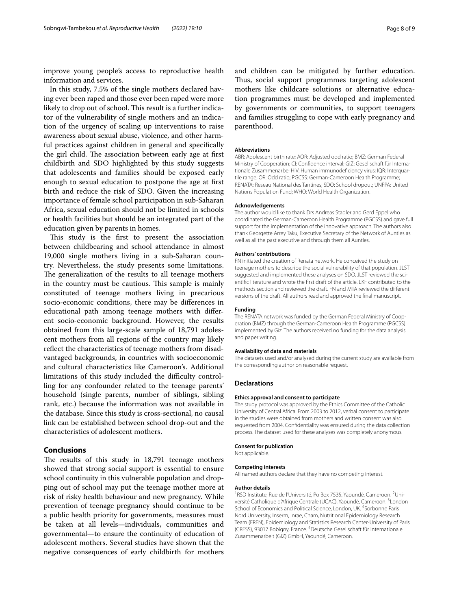improve young people's access to reproductive health information and services.

In this study, 7.5% of the single mothers declared having ever been raped and those ever been raped were more likely to drop out of school. This result is a further indicator of the vulnerability of single mothers and an indication of the urgency of scaling up interventions to raise awareness about sexual abuse, violence, and other harmful practices against children in general and specifcally the girl child. The association between early age at first childbirth and SDO highlighted by this study suggests that adolescents and families should be exposed early enough to sexual education to postpone the age at frst birth and reduce the risk of SDO. Given the increasing importance of female school participation in sub-Saharan Africa, sexual education should not be limited in schools or health facilities but should be an integrated part of the education given by parents in homes.

This study is the first to present the association between childbearing and school attendance in almost 19,000 single mothers living in a sub-Saharan country. Nevertheless, the study presents some limitations. The generalization of the results to all teenage mothers in the country must be cautious. This sample is mainly constituted of teenage mothers living in precarious socio-economic conditions, there may be diferences in educational path among teenage mothers with diferent socio-economic background. However, the results obtained from this large-scale sample of 18,791 adolescent mothers from all regions of the country may likely reflect the characteristics of teenage mothers from disadvantaged backgrounds, in countries with socioeconomic and cultural characteristics like Cameroon's. Additional limitations of this study included the difficulty controlling for any confounder related to the teenage parents' household (single parents, number of siblings, sibling rank, etc.) because the information was not available in the database. Since this study is cross-sectional, no causal link can be established between school drop-out and the characteristics of adolescent mothers.

# **Conclusions**

The results of this study in 18,791 teenage mothers showed that strong social support is essential to ensure school continuity in this vulnerable population and dropping out of school may put the teenage mother more at risk of risky health behaviour and new pregnancy. While prevention of teenage pregnancy should continue to be a public health priority for governments, measures must be taken at all levels—individuals, communities and governmental—to ensure the continuity of education of adolescent mothers. Several studies have shown that the negative consequences of early childbirth for mothers

and children can be mitigated by further education. Thus, social support programmes targeting adolescent mothers like childcare solutions or alternative education programmes must be developed and implemented by governments or communities, to support teenagers and families struggling to cope with early pregnancy and parenthood.

#### **Abbreviations**

ABR: Adolescent birth rate; AOR: Adjusted odd ratio; BMZ: German Federal Ministry of Cooperation; CI: Confidence interval; GIZ: Gesellschaft für Internationale Zusammenarbe; HIV: Human immunodeficiency virus; IQR: Interquartile range; OR: Odd ratio; PGCSS: German-Cameroon Health Programme; RENATA: Reseau National des Tantines; SDO: School dropout; UNFPA: United Nations Population Fund; WHO: World Health Organization.

#### **Acknowledgements**

The author would like to thank Drs Andreas Stadler and Gerd Eppel who coordinated the German-Cameroon Health Programme (PGCSS) and gave full support for the implementation of the innovative approach. The authors also thank Georgette Arrey Taku, Executive Secretary of the Network of Aunties as well as all the past executive and through them all Aunties.

#### **Authors' contributions**

FN initiated the creation of Renata network. He conceived the study on teenage mothers to describe the social vulnerability of that population. JLST suggested and implemented these analyses on SDO. JLST reviewed the scientifc literature and wrote the frst draft of the article. LKF contributed to the methods section and reviewed the draft. FN and MTA reviewed the diferent versions of the draft. All authors read and approved the fnal manuscript.

#### **Funding**

The RENATA network was funded by the German Federal Ministry of Cooperation (BMZ) through the German-Cameroon Health Programme (PGCSS) implemented by Giz. The authors received no funding for the data analysis and paper writing.

#### **Availability of data and materials**

The datasets used and/or analysed during the current study are available from the corresponding author on reasonable request.

#### **Declarations**

#### **Ethics approval and consent to participate**

The study protocol was approved by the Ethics Committee of the Catholic University of Central Africa. From 2003 to 2012, verbal consent to participate in the studies were obtained from mothers and written consent was also requested from 2004. Confdentiality was ensured during the data collection process. The dataset used for these analyses was completely anonymous.

## **Consent for publication**

Not applicable.

#### **Competing interests**

All named authors declare that they have no competing interest.

#### **Author details**

<sup>1</sup>RSD Institute, Rue de l'Université, Po Box 7535, Yaoundé, Cameroon.<sup>2</sup>Université Catholique d'Afrique Centrale (UCAC), Yaoundé, Cameroon.<sup>3</sup> London School of Economics and Political Science, London, UK. <sup>4</sup>Sorbonne Paris Nord University, Inserm, Inrae, Cnam, Nutritional Epidemiology Research Team (EREN), Epidemiology and Statistics Research Center-University of Paris (CRESS), 93017 Bobigny, France. <sup>5</sup> Deutsche Gesellschaft für Internationale Zusammenarbeit (GIZ) GmbH, Yaoundé, Cameroon.